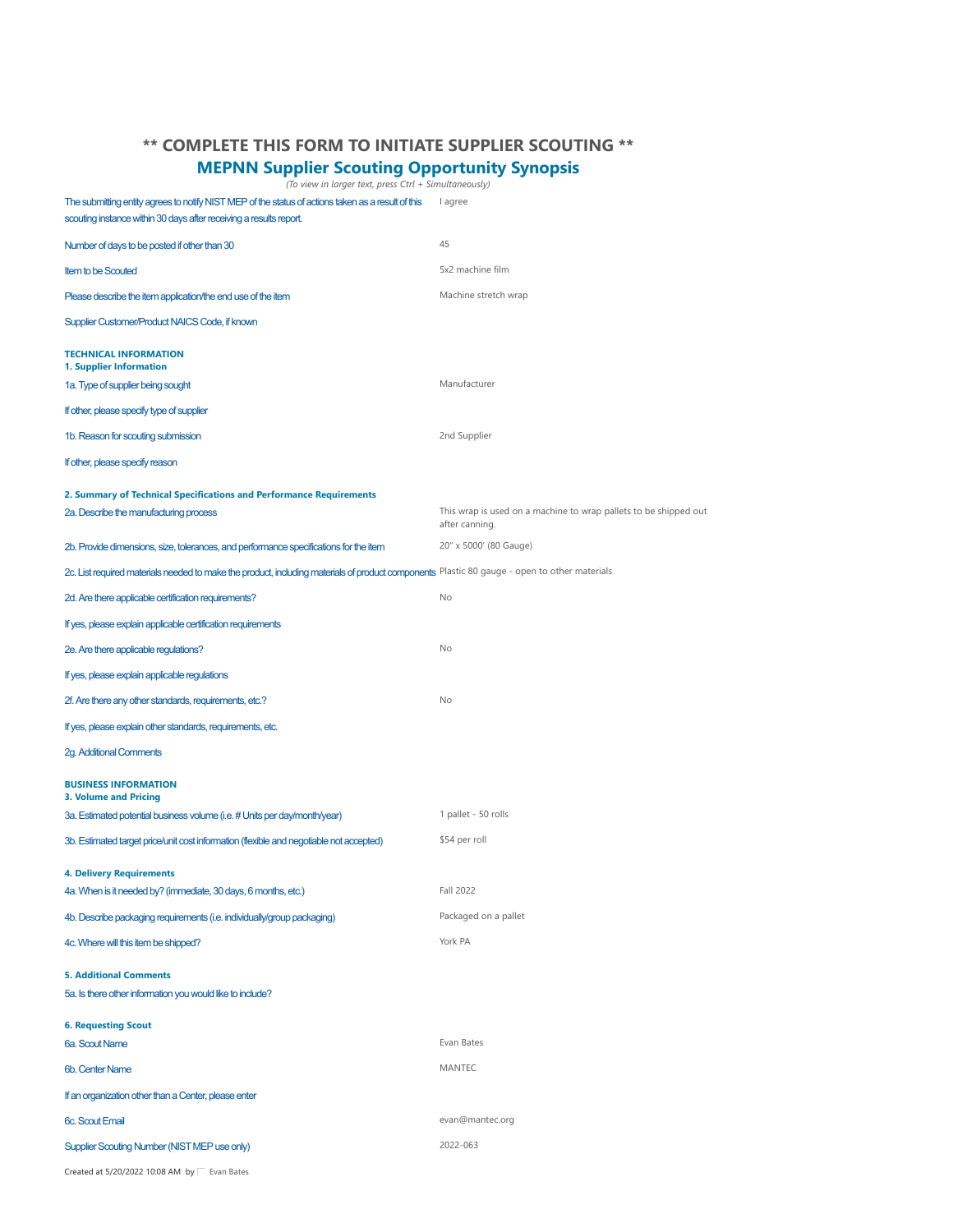## <span id="page-0-0"></span>**\*\* COMPLETE THIS FORM TO INITIATE SUPPLIER SCOUTING \*\***

## **MEPNN Supplier Scouting Opportunity Synopsis** *(To view in larger text, press Ctrl + Simultaneously)*

The submitting entity agrees to notify NIST MEP of the status of actions taken as a result of this lagree

scouting instance within 30 days after receiving a results report. Number of days to be posted if other than 30 45

| Number of days to be posted if other than 30                                                                                                 | 45                                                                                 |
|----------------------------------------------------------------------------------------------------------------------------------------------|------------------------------------------------------------------------------------|
| <b>Item to be Scouted</b>                                                                                                                    | 5x2 machine film                                                                   |
| Please describe the item application/the end use of the item                                                                                 | Machine stretch wrap                                                               |
| Supplier Customer/Product NAICS Code, if known                                                                                               |                                                                                    |
| <b>TECHNICAL INFORMATION</b><br>1. Supplier Information                                                                                      |                                                                                    |
| 1a. Type of supplier being sought                                                                                                            | Manufacturer                                                                       |
| If other, please specify type of supplier                                                                                                    |                                                                                    |
| 1b. Reason for scouting submission                                                                                                           | 2nd Supplier                                                                       |
| If other, please specify reason                                                                                                              |                                                                                    |
| 2. Summary of Technical Specifications and Performance Requirements                                                                          |                                                                                    |
| 2a. Describe the manufacturing process                                                                                                       | This wrap is used on a machine to wrap pallets to be shipped out<br>after canning. |
| 2b. Provide dimensions, size, tolerances, and performance specifications for the item                                                        | 20" x 5000' (80 Gauge)                                                             |
| 2c. List required materials needed to make the product, including materials of product components Plastic 80 gauge - open to other materials |                                                                                    |
| 2d. Are there applicable certification requirements?                                                                                         | No                                                                                 |
| If yes, please explain applicable certification requirements                                                                                 |                                                                                    |
| 2e. Are there applicable regulations?                                                                                                        | No                                                                                 |
| If yes, please explain applicable regulations                                                                                                |                                                                                    |
| 2f. Are there any other standards, requirements, etc.?                                                                                       | No                                                                                 |
| If yes, please explain other standards, requirements, etc.                                                                                   |                                                                                    |
| 2g. Additional Comments                                                                                                                      |                                                                                    |
| <b>BUSINESS INFORMATION</b><br><b>3. Volume and Pricing</b>                                                                                  |                                                                                    |
| 3a. Estimated potential business volume (i.e. # Units per day/month/year)                                                                    | 1 pallet - 50 rolls                                                                |
| 3b. Estimated target price/unit cost information (flexible and negotiable not accepted)                                                      | \$54 per roll                                                                      |
| <b>4. Delivery Requirements</b>                                                                                                              |                                                                                    |
| 4a. When is it needed by? (immediate, 30 days, 6 months, etc.)                                                                               | Fall 2022                                                                          |
| 4b. Describe packaging requirements (i.e. individually/group packaging)                                                                      | Packaged on a pallet                                                               |
| 4c. Where will this item be shipped?                                                                                                         | York PA                                                                            |
| <b>5. Additional Comments</b><br>5a. Is there other information you would like to include?                                                   |                                                                                    |
| <b>6. Requesting Scout</b>                                                                                                                   |                                                                                    |
| 6a. Scout Name                                                                                                                               | Evan Bates                                                                         |
| 6b. Center Name                                                                                                                              | <b>MANTEC</b>                                                                      |
| If an organization other than a Center, please enter                                                                                         |                                                                                    |
| 6c. Scout Email                                                                                                                              | evan@mantec.org                                                                    |
| Supplier Scouting Number (NIST MEP use only)                                                                                                 | 2022-063                                                                           |

Createdat 5/20/2022 10:08 AM by  $\Box$  [Evan Bates](https://mic.nist.gov/forms/_layouts/15/listform.aspx?PageType=4&ListId={39a0defd-a735-4b85-8f19-7c649050c9f5}&ID=5522)